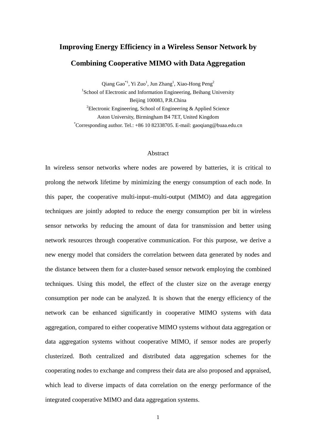# **Improving Energy Efficiency in a Wireless Sensor Network by Combining Cooperative MIMO with Data Aggregation**

Qiang Gao $^{\ast}$ <sup>1</sup>, Yi Zuo<sup>1</sup>, Jun Zhang<sup>1</sup>, Xiao-Hong Peng<sup>2</sup> <sup>1</sup>School of Electronic and Information Engineering, Beihang University Beijing 100083, P.R.China <sup>2</sup>Electronic Engineering, School of Engineering & Applied Science Aston University, Birmingham B4 7ET, United Kingdom \*Corresponding author. Tel.: +86 10 82338705. E-mail: gaoqiang@buaa.edu.cn

#### Abstract

In wireless sensor networks where nodes are powered by batteries, it is critical to prolong the network lifetime by minimizing the energy consumption of each node. In this paper, the cooperative multi-input–multi-output (MIMO) and data aggregation techniques are jointly adopted to reduce the energy consumption per bit in wireless sensor networks by reducing the amount of data for transmission and better using network resources through cooperative communication. For this purpose, we derive a new energy model that considers the correlation between data generated by nodes and the distance between them for a cluster-based sensor network employing the combined techniques. Using this model, the effect of the cluster size on the average energy consumption per node can be analyzed. It is shown that the energy efficiency of the network can be enhanced significantly in cooperative MIMO systems with data aggregation, compared to either cooperative MIMO systems without data aggregation or data aggregation systems without cooperative MIMO, if sensor nodes are properly clusterized. Both centralized and distributed data aggregation schemes for the cooperating nodes to exchange and compress their data are also proposed and appraised, which lead to diverse impacts of data correlation on the energy performance of the integrated cooperative MIMO and data aggregation systems.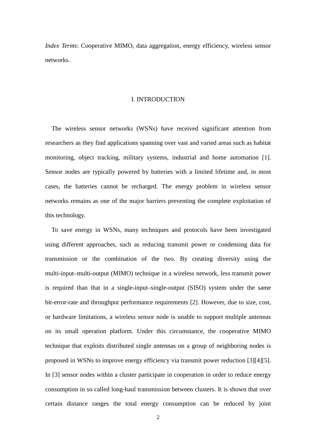*Index Terms*: Cooperative MIMO, data aggregation, energy efficiency, wireless sensor networks.

## I. INTRODUCTION

The wireless sensor networks (WSNs) have received significant attention from researchers as they find applications spanning over vast and varied areas such as habitat monitoring, object tracking, military systems, industrial and home automation [1]. Sensor nodes are typically powered by batteries with a limited lifetime and, in most cases, the batteries cannot be recharged. The energy problem in wireless sensor networks remains as one of the major barriers preventing the complete exploitation of this technology.

To save energy in WSNs, many techniques and protocols have been investigated using different approaches, such as reducing transmit power or condensing data for transmission or the combination of the two. By creating diversity using the multi-input–multi-output (MIMO) technique in a wireless network, less transmit power is required than that in a single-input–single-output (SISO) system under the same bit-error-rate and throughput performance requirements [2]. However, due to size, cost, or hardware limitations, a wireless sensor node is unable to support multiple antennas on its small operation platform. Under this circumstance, the cooperative MIMO technique that exploits distributed single antennas on a group of neighboring nodes is proposed in WSNs to improve energy efficiency via transmit power reduction [3][4][5]. In [3] sensor nodes within a cluster participate in cooperation in order to reduce energy consumption in so called long-haul transmission between clusters. It is shown that over certain distance ranges the total energy consumption can be reduced by joint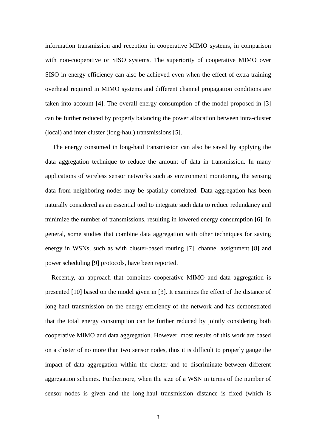information transmission and reception in cooperative MIMO systems, in comparison with non-cooperative or SISO systems. The superiority of cooperative MIMO over SISO in energy efficiency can also be achieved even when the effect of extra training overhead required in MIMO systems and different channel propagation conditions are taken into account [4]. The overall energy consumption of the model proposed in [3] can be further reduced by properly balancing the power allocation between intra-cluster (local) and inter-cluster (long-haul) transmissions [5].

The energy consumed in long-haul transmission can also be saved by applying the data aggregation technique to reduce the amount of data in transmission. In many applications of wireless sensor networks such as environment monitoring, the sensing data from neighboring nodes may be spatially correlated. Data aggregation has been naturally considered as an essential tool to integrate such data to reduce redundancy and minimize the number of transmissions, resulting in lowered energy consumption [6]. In general, some studies that combine data aggregation with other techniques for saving energy in WSNs, such as with cluster-based routing [7], channel assignment [8] and power scheduling [9] protocols, have been reported.

Recently, an approach that combines cooperative MIMO and data aggregation is presented [10] based on the model given in [3]. It examines the effect of the distance of long-haul transmission on the energy efficiency of the network and has demonstrated that the total energy consumption can be further reduced by jointly considering both cooperative MIMO and data aggregation. However, most results of this work are based on a cluster of no more than two sensor nodes, thus it is difficult to properly gauge the impact of data aggregation within the cluster and to discriminate between different aggregation schemes. Furthermore, when the size of a WSN in terms of the number of sensor nodes is given and the long-haul transmission distance is fixed (which is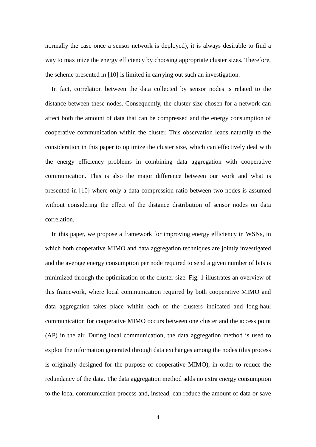normally the case once a sensor network is deployed), it is always desirable to find a way to maximize the energy efficiency by choosing appropriate cluster sizes. Therefore, the scheme presented in [10] is limited in carrying out such an investigation.

In fact, correlation between the data collected by sensor nodes is related to the distance between these nodes. Consequently, the cluster size chosen for a network can affect both the amount of data that can be compressed and the energy consumption of cooperative communication within the cluster. This observation leads naturally to the consideration in this paper to optimize the cluster size, which can effectively deal with the energy efficiency problems in combining data aggregation with cooperative communication. This is also the major difference between our work and what is presented in [10] where only a data compression ratio between two nodes is assumed without considering the effect of the distance distribution of sensor nodes on data correlation.

In this paper, we propose a framework for improving energy efficiency in WSNs, in which both cooperative MIMO and data aggregation techniques are jointly investigated and the average energy consumption per node required to send a given number of bits is minimized through the optimization of the cluster size. Fig. 1 illustrates an overview of this framework, where local communication required by both cooperative MIMO and data aggregation takes place within each of the clusters indicated and long-haul communication for cooperative MIMO occurs between one cluster and the access point (AP) in the air. During local communication, the data aggregation method is used to exploit the information generated through data exchanges among the nodes (this process is originally designed for the purpose of cooperative MIMO), in order to reduce the redundancy of the data. The data aggregation method adds no extra energy consumption to the local communication process and, instead, can reduce the amount of data or save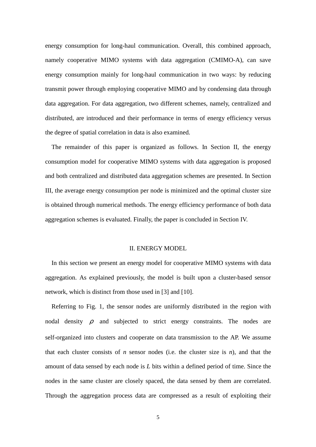energy consumption for long-haul communication. Overall, this combined approach, namely cooperative MIMO systems with data aggregation (CMIMO-A), can save energy consumption mainly for long-haul communication in two ways: by reducing transmit power through employing cooperative MIMO and by condensing data through data aggregation. For data aggregation, two different schemes, namely, centralized and distributed, are introduced and their performance in terms of energy efficiency versus the degree of spatial correlation in data is also examined.

The remainder of this paper is organized as follows. In Section II, the energy consumption model for cooperative MIMO systems with data aggregation is proposed and both centralized and distributed data aggregation schemes are presented. In Section III, the average energy consumption per node is minimized and the optimal cluster size is obtained through numerical methods. The energy efficiency performance of both data aggregation schemes is evaluated. Finally, the paper is concluded in Section IV.

## II. ENERGY MODEL

In this section we present an energy model for cooperative MIMO systems with data aggregation. As explained previously, the model is built upon a cluster-based sensor network, which is distinct from those used in [3] and [10].

Referring to Fig. 1, the sensor nodes are uniformly distributed in the region with nodal density  $\rho$  and subjected to strict energy constraints. The nodes are self-organized into clusters and cooperate on data transmission to the AP. We assume that each cluster consists of  $n$  sensor nodes (i.e. the cluster size is  $n$ ), and that the amount of data sensed by each node is *L* bits within a defined period of time. Since the nodes in the same cluster are closely spaced, the data sensed by them are correlated. Through the aggregation process data are compressed as a result of exploiting their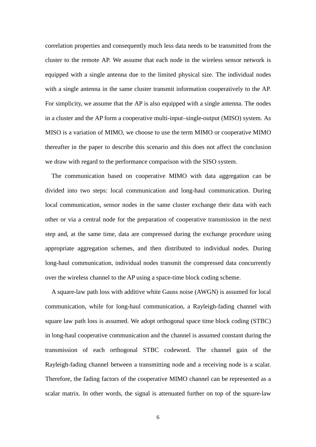correlation properties and consequently much less data needs to be transmitted from the cluster to the remote AP. We assume that each node in the wireless sensor network is equipped with a single antenna due to the limited physical size. The individual nodes with a single antenna in the same cluster transmit information cooperatively to the AP. For simplicity, we assume that the AP is also equipped with a single antenna. The nodes in a cluster and the AP form a cooperative multi-input–single-output (MISO) system. As MISO is a variation of MIMO, we choose to use the term MIMO or cooperative MIMO thereafter in the paper to describe this scenario and this does not affect the conclusion we draw with regard to the performance comparison with the SISO system.

 The communication based on cooperative MIMO with data aggregation can be divided into two steps: local communication and long-haul communication. During local communication, sensor nodes in the same cluster exchange their data with each other or via a central node for the preparation of cooperative transmission in the next step and, at the same time, data are compressed during the exchange procedure using appropriate aggregation schemes, and then distributed to individual nodes. During long-haul communication, individual nodes transmit the compressed data concurrently over the wireless channel to the AP using a space-time block coding scheme.

A square-law path loss with additive white Gauss noise (AWGN) is assumed for local communication, while for long-haul communication, a Rayleigh-fading channel with square law path loss is assumed. We adopt orthogonal space time block coding (STBC) in long-haul cooperative communication and the channel is assumed constant during the transmission of each orthogonal STBC codeword. The channel gain of the Rayleigh-fading channel between a transmitting node and a receiving node is a scalar. Therefore, the fading factors of the cooperative MIMO channel can be represented as a scalar matrix. In other words, the signal is attenuated further on top of the square-law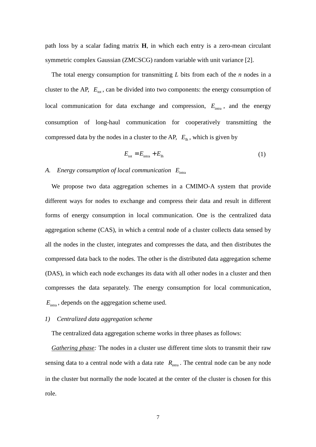path loss by a scalar fading matrix **H**, in which each entry is a zero-mean circulant symmetric complex Gaussian (ZMCSCG) random variable with unit variance [2].

The total energy consumption for transmitting *L* bits from each of the *n* nodes in a cluster to the AP,  $E_{tot}$ , can be divided into two components: the energy consumption of local communication for data exchange and compression,  $E_{\text{intra}}$ , and the energy consumption of long-haul communication for cooperatively transmitting the compressed data by the nodes in a cluster to the AP,  $E_{\text{th}}$ , which is given by

$$
E_{\text{tot}} = E_{\text{intra}} + E_{\text{lh}} \tag{1}
$$

## *A. Energy consumption of local communication E*intra

We propose two data aggregation schemes in a CMIMO-A system that provide different ways for nodes to exchange and compress their data and result in different forms of energy consumption in local communication. One is the centralized data aggregation scheme (CAS), in which a central node of a cluster collects data sensed by all the nodes in the cluster, integrates and compresses the data, and then distributes the compressed data back to the nodes. The other is the distributed data aggregation scheme (DAS), in which each node exchanges its data with all other nodes in a cluster and then compresses the data separately. The energy consumption for local communication,  $E_{\text{intra}}$ , depends on the aggregation scheme used.

## *1) Centralized data aggregation scheme*

The centralized data aggregation scheme works in three phases as follows:

*Gathering phase:* The nodes in a cluster use different time slots to transmit their raw sensing data to a central node with a data rate  $R_{\text{intra}}$ . The central node can be any node in the cluster but normally the node located at the center of the cluster is chosen for this role.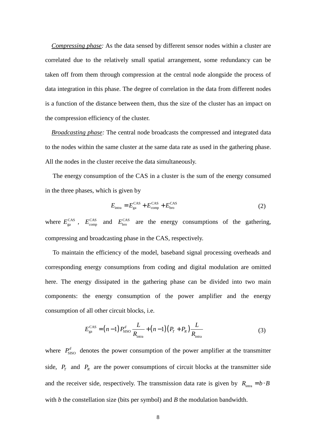*Compressing phase:* As the data sensed by different sensor nodes within a cluster are correlated due to the relatively small spatial arrangement, some redundancy can be taken off from them through compression at the central node alongside the process of data integration in this phase. The degree of correlation in the data from different nodes is a function of the distance between them, thus the size of the cluster has an impact on the compression efficiency of the cluster.

*Broadcasting phase:* The central node broadcasts the compressed and integrated data to the nodes within the same cluster at the same data rate as used in the gathering phase. All the nodes in the cluster receive the data simultaneously.

The energy consumption of the CAS in a cluster is the sum of the energy consumed in the three phases, which is given by

$$
E_{\text{intra}} = E_{\text{ga}}^{\text{CAS}} + E_{\text{comp}}^{\text{CAS}} + E_{\text{bro}}^{\text{CAS}} \tag{2}
$$

where  $E_{\text{ga}}^{\text{CAS}}$ ,  $E_{\text{comp}}^{\text{CAS}}$  and  $E_{\text{bro}}^{\text{CAS}}$  are the energy consumptions of the gathering, compressing and broadcasting phase in the CAS, respectively.

To maintain the efficiency of the model, baseband signal processing overheads and corresponding energy consumptions from coding and digital modulation are omitted here. The energy dissipated in the gathering phase can be divided into two main components: the energy consumption of the power amplifier and the energy consumption of all other circuit blocks, i.e.

$$
E_{\rm ga}^{\rm CAS} = (n-1) P_{\rm SISO}^d \frac{L}{R_{\rm intra}} + (n-1)(P_T + P_R) \frac{L}{R_{\rm intra}}
$$
 (3)

where  $P_{\text{SISO}}^d$  denotes the power consumption of the power amplifier at the transmitter side,  $P_T$  and  $P_R$  are the power consumptions of circuit blocks at the transmitter side and the receiver side, respectively. The transmission data rate is given by  $R_{\text{intra}} = b \cdot B$ with *b* the constellation size (bits per symbol) and *B* the modulation bandwidth.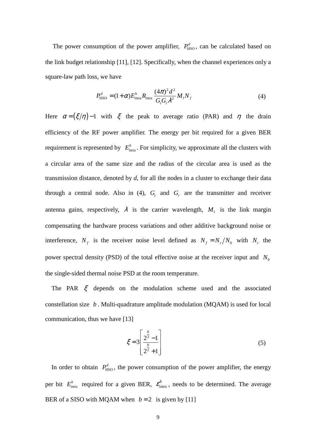The power consumption of the power amplifier,  $P_{\text{SISO}}^d$ , can be calculated based on the link budget relationship [11], [12]. Specifically, when the channel experiences only a square-law path loss, we have

$$
P_{\text{SISO}}^d = (1+\alpha)E_{\text{intra}}^b R_{\text{intra}} \frac{(4\pi)^2 d^2}{G_f G_r \lambda^2} M_I N_f
$$
 (4)

Here  $\alpha = (\xi/\eta) - 1$  with  $\xi$  the peak to average ratio (PAR) and  $\eta$  the drain efficiency of the RF power amplifier. The energy per bit required for a given BER requirement is represented by  $E_{\text{intra}}^b$ . For simplicity, we approximate all the clusters with a circular area of the same size and the radius of the circular area is used as the transmission distance, denoted by *d*, for all the nodes in a cluster to exchange their data through a central node. Also in (4),  $G_t$  and  $G_r$  are the transmitter and receiver antenna gains, respectively,  $\lambda$  is the carrier wavelength,  $M_l$  is the link margin compensating the hardware process variations and other additive background noise or interference,  $N_f$  is the receiver noise level defined as  $N_f = N_r/N_0$  with  $N_r$  the power spectral density (PSD) of the total effective noise at the receiver input and  $N_0$ the single-sided thermal noise PSD at the room temperature.

The PAR  $\xi$  depends on the modulation scheme used and the associated constellation size *b* . Multi-quadrature amplitude modulation (MQAM) is used for local communication, thus we have [13]

$$
\xi = 3 \left[ \frac{2^{\frac{b}{2}} - 1}{2^{\frac{b}{2}} + 1} \right]
$$
 (5)

In order to obtain  $P_{\text{SISO}}^d$ , the power consumption of the power amplifier, the energy per bit  $E_{\text{intra}}^b$  required for a given BER,  $\mathcal{E}_{\text{intra}}^b$ , needs to be determined. The average BER of a SISO with MQAM when  $b = 2$  is given by [11]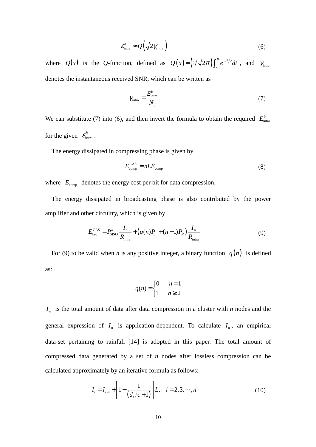$$
\varepsilon_{\text{intra}}^b \approx \mathcal{Q}\left(\sqrt{2\gamma_{\text{intra}}}\right) \tag{6}
$$

where  $Q(x)$  is the *Q*-function, defined as  $Q(x) = (1/\sqrt{2\pi}) \int_x^{\infty} e^{-t^2/2} dt$ , and  $\gamma_{\text{intra}}$ denotes the instantaneous received SNR, which can be written as

$$
\gamma_{\text{intra}} = \frac{E_{\text{intra}}^b}{N_0} \tag{7}
$$

We can substitute (7) into (6), and then invert the formula to obtain the required  $E_{\text{intra}}^b$ for the given  $\varepsilon_{\text{intra}}^b$ .

The energy dissipated in compressing phase is given by

$$
E_{\rm comp}^{\rm CAS} = nLE_{\rm comp} \tag{8}
$$

where  $E_{\text{comp}}$  denotes the energy cost per bit for data compression.

The energy dissipated in broadcasting phase is also contributed by the power amplifier and other circuitry, which is given by

$$
E_{\text{bro}}^{\text{CAS}} = P_{\text{SISO}}^d \frac{I_n}{R_{\text{intra}}} + \left( q(n)P_T + (n-1)P_R \right) \frac{I_n}{R_{\text{intra}}}
$$
(9)

For (9) to be valid when *n* is any positive integer, a binary function  $q(n)$  is defined as:

$$
q(n) = \begin{cases} 0 & n = 1 \\ 1 & n \ge 2 \end{cases}
$$

 $I_n$  is the total amount of data after data compression in a cluster with *n* nodes and the general expression of  $I_n$  is application-dependent. To calculate  $I_n$ , an empirical data-set pertaining to rainfall [14] is adopted in this paper. The total amount of compressed data generated by a set of *n* nodes after lossless compression can be calculated approximately by an iterative formula as follows:

$$
I_i = I_{i-1} + \left[1 - \frac{1}{\left(d_i/c + 1\right)}\right]L, \quad i = 2, 3, \cdots, n
$$
\n(10)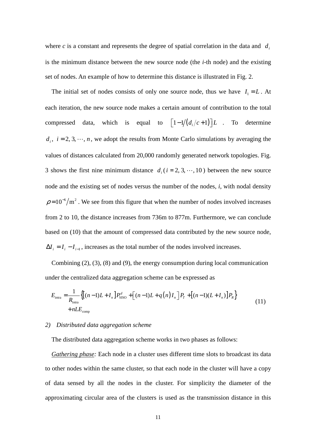where  $c$  is a constant and represents the degree of spatial correlation in the data and  $d_i$ is the minimum distance between the new source node (the *i*-th node) and the existing set of nodes. An example of how to determine this distance is illustrated in Fig. 2.

The initial set of nodes consists of only one source node, thus we have  $I_1 = L$ . At each iteration, the new source node makes a certain amount of contribution to the total compressed data, which is equal to  $\left[1-1/(d_i/c+1)\right]L$  . To determine  $d_i$ ,  $i = 2, 3, \dots, n$ , we adopt the results from Monte Carlo simulations by averaging the values of distances calculated from 20,000 randomly generated network topologies. Fig. 3 shows the first nine minimum distance  $d_i$  ( $i = 2, 3, \dots, 10$ ) between the new source node and the existing set of nodes versus the number of the nodes, *i*, with nodal density  $\rho = 10^{-6}/m^2$ . We see from this figure that when the number of nodes involved increases from 2 to 10, the distance increases from 736m to 877m. Furthermore, we can conclude based on (10) that the amount of compressed data contributed by the new source node,  $\Delta I_i = I_i - I_{i-1}$ , increases as the total number of the nodes involved increases.

Combining (2), (3), (8) and (9), the energy consumption during local communication under the centralized data aggregation scheme can be expressed as

$$
E_{\text{intra}} = \frac{1}{R_{\text{intra}}} \left\{ \left[ (n-1)L + I_n \right] P_{\text{SISO}}^d + \left[ (n-1)L + q(n)I_n \right] P_r + \left[ (n-1)(L + I_n) \right] P_R \right\} + nLE_{\text{comp}} \tag{11}
$$

#### *2) Distributed data aggregation scheme*

The distributed data aggregation scheme works in two phases as follows:

*Gathering phase:* Each node in a cluster uses different time slots to broadcast its data to other nodes within the same cluster, so that each node in the cluster will have a copy of data sensed by all the nodes in the cluster. For simplicity the diameter of the approximating circular area of the clusters is used as the transmission distance in this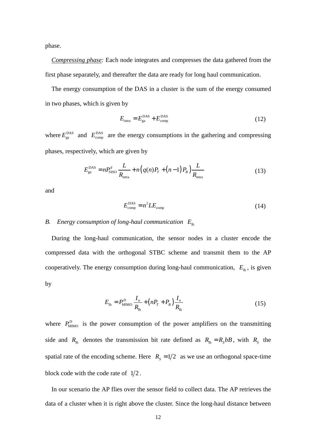phase.

*Compressing phase:* Each node integrates and compresses the data gathered from the first phase separately, and thereafter the data are ready for long haul communication.

The energy consumption of the DAS in a cluster is the sum of the energy consumed in two phases, which is given by

$$
E_{\text{intra}} = E_{\text{ga}}^{\text{DAS}} + E_{\text{comp}}^{\text{DAS}} \tag{12}
$$

where  $E_{\text{ga}}^{\text{DAS}}$  and  $E_{\text{comp}}^{\text{DAS}}$  are the energy consumptions in the gathering and compressing phases, respectively, which are given by

$$
E_{\rm ga}^{\rm DAS} = n P_{\rm SISO}^d \frac{L}{R_{\rm intra}} + n \left( q(n) P_T + (n-1) P_R \right) \frac{L}{R_{\rm intra}} \tag{13}
$$

and

$$
E_{\rm comp}^{\rm DAS} = n^2 L E_{\rm comp} \tag{14}
$$

## *B. Energy consumption of long-haul communication E*lh

During the long-haul communication, the sensor nodes in a cluster encode the compressed data with the orthogonal STBC scheme and transmit them to the AP cooperatively. The energy consumption during long-haul communication,  $E_{\text{lh}}$ , is given by

$$
E_{\text{th}} = P_{\text{MIMO}}^D \frac{I_n}{R_{\text{th}}} + \left( nP_T + P_R \right) \frac{I_n}{R_{\text{th}}} \tag{15}
$$

where  $P_{\text{MIMO}}^D$  is the power consumption of the power amplifiers on the transmitting side and  $R_{\text{lh}}$  denotes the transmission bit rate defined as  $R_{\text{lh}} = R_s bB$ , with  $R_s$  the spatial rate of the encoding scheme. Here  $R<sub>S</sub> = 1/2$  as we use an orthogonal space-time block code with the code rate of  $1/2$ .

In our scenario the AP flies over the sensor field to collect data. The AP retrieves the data of a cluster when it is right above the cluster. Since the long-haul distance between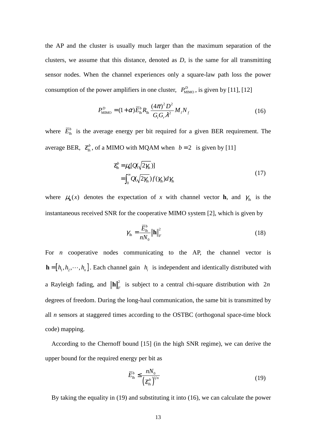the AP and the cluster is usually much larger than the maximum separation of the clusters, we assume that this distance, denoted as *D*, is the same for all transmitting sensor nodes. When the channel experiences only a square-law path loss the power consumption of the power amplifiers in one cluster,  $P_{\text{MIMO}}^D$ , is given by [11], [12]

$$
P_{\text{MIMO}}^{D} = (1 + \alpha) \overline{E}_{\text{lh}}^{b} R_{\text{lh}} \frac{(4\pi)^{2} D^{2}}{G_{i} G_{r} \lambda^{2}} M_{i} N_{f}
$$
(16)

where  $\bar{E}_{\rm th}^b$  is the average energy per bit required for a given BER requirement. The average BER,  $\bar{\epsilon}_{\rm ln}^b$ , of a MIMO with MQAM when *b* = 2 is given by [11]

$$
\overline{\mathcal{E}}_{\ln}^{b} = \mu_{\ln}[Q(\sqrt{2\gamma_{\ln}})]
$$
  
= 
$$
\int_{0}^{\infty} Q(\sqrt{2\gamma_{\ln}}) f(\gamma_{\ln}) d\gamma_{\ln}
$$
 (17)

where  $\mu_{\bf h}(x)$  denotes the expectation of *x* with channel vector **h**, and  $\gamma_{\bf h}$  is the instantaneous received SNR for the cooperative MIMO system [2], which is given by

$$
\gamma_{\text{lh}} = \frac{\overline{E}_{\text{lh}}^b}{nN_0} \left\| \mathbf{h} \right\|_F^2 \tag{18}
$$

For *n* cooperative nodes communicating to the AP, the channel vector is  $\mathbf{h} = [h_1, h_2, \dots, h_n]$ . Each channel gain  $h_i$  is independent and identically distributed with a Rayleigh fading, and  $\|\mathbf{h}\|^2_F$  is subject to a central chi-square distribution with 2*n* degrees of freedom. During the long-haul communication, the same bit is transmitted by all *n* sensors at staggered times according to the OSTBC (orthogonal space-time block code) mapping.

According to the Chernoff bound [15] (in the high SNR regime), we can derive the upper bound for the required energy per bit as

$$
\overline{E}_{\rm lh}^b \le \frac{nN_0}{\left(\overline{\mathcal{E}}_{\rm lh}^b\right)^{l/n}}\tag{19}
$$

By taking the equality in (19) and substituting it into (16), we can calculate the power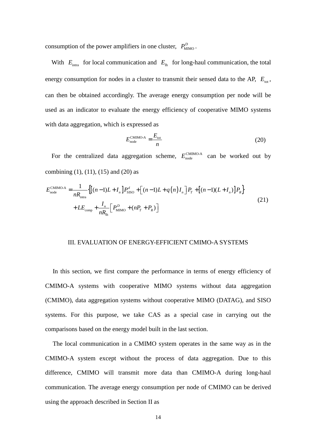consumption of the power amplifiers in one cluster,  $P_{\text{MIMO}}^D$ .

With  $E_{\text{intra}}$  for local communication and  $E_{\text{lh}}$  for long-haul communication, the total energy consumption for nodes in a cluster to transmit their sensed data to the AP,  $E_{\text{tot}}$ , can then be obtained accordingly. The average energy consumption per node will be used as an indicator to evaluate the energy efficiency of cooperative MIMO systems with data aggregation, which is expressed as

$$
E_{\text{node}}^{\text{CMIMO-A}} = \frac{E_{\text{tot}}}{n} \tag{20}
$$

For the centralized data aggregation scheme,  $E_{\text{node}}^{\text{CMMO-A}}$  can be worked out by combining  $(1)$ ,  $(11)$ ,  $(15)$  and  $(20)$  as

$$
E_{\text{node}}^{\text{CMIMO-A}} = \frac{1}{nR_{\text{intra}}} \Big\{ \Big[ (n-1)L + I_n \Big] P_{\text{SISO}}^d + \Big[ (n-1)L + q(n)I_n \Big] P_T + \Big[ (n-1)(L + I_n) \Big] P_R \Big\} + LE_{\text{comp}} + \frac{I_n}{nR_{\text{in}}} \Big[ P_{\text{MIMO}}^D + (nP_T + P_R) \Big] \tag{21}
$$

## III. EVALUATION OF ENERGY-EFFICIENT CMIMO-A SYSTEMS

In this section, we first compare the performance in terms of energy efficiency of CMIMO-A systems with cooperative MIMO systems without data aggregation (CMIMO), data aggregation systems without cooperative MIMO (DATAG), and SISO systems. For this purpose, we take CAS as a special case in carrying out the comparisons based on the energy model built in the last section.

The local communication in a CMIMO system operates in the same way as in the CMIMO-A system except without the process of data aggregation. Due to this difference, CMIMO will transmit more data than CMIMO-A during long-haul communication. The average energy consumption per node of CMIMO can be derived using the approach described in Section II as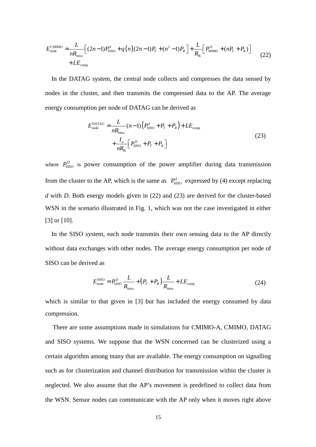$$
E_{\text{node}}^{\text{CMIMO}} = \frac{L}{nR_{\text{intra}}} \Big[ (2n-1)P_{\text{SISO}}^d + q(n)(2n-1)P_T + (n^2-1)P_R \Big] + \frac{L}{R_{\text{in}}} \Big[ P_{\text{MIMO}}^D + (nP_T + P_R) \Big] + L E_{\text{comp}} \tag{22}
$$

In the DATAG system, the central node collects and compresses the data sensed by nodes in the cluster, and then transmits the compressed data to the AP. The average energy consumption per node of DATAG can be derived as

$$
E_{\text{node}}^{\text{DATAG}} = \frac{L}{nR_{\text{intra}}} (n-1) \Big( P_{\text{SISO}}^d + P_T + P_R \Big) + L E_{\text{comp}}
$$
  
+ 
$$
\frac{I_n}{nR_{\text{in}}} \Big[ P_{\text{SISO}}^D + P_T + P_R \Big]
$$
 (23)

where  $P_{\text{SISO}}^D$  is power consumption of the power amplifier during data transmission from the cluster to the AP, which is the same as  $P_{\text{SISO}}^d$  expressed by (4) except replacing *d* with *D*. Both energy models given in (22) and (23) are derived for the cluster-based WSN in the scenario illustrated in Fig. 1, which was not the case investigated in either [3] or [10].

In the SISO system, each node transmits their own sensing data to the AP directly without data exchanges with other nodes. The average energy consumption per node of SISO can be derived as

$$
E_{\text{node}}^{\text{SISO}} = P_{\text{SISO}}^D \frac{L}{R_{\text{intra}}} + (P_T + P_R) \frac{L}{R_{\text{intra}}} + LE_{\text{comp}}
$$
(24)

which is similar to that given in [3] but has included the energy consumed by data compression.

There are some assumptions made in simulations for CMIMO-A, CMIMO, DATAG and SISO systems. We suppose that the WSN concerned can be clusterized using a certain algorithm among many that are available. The energy consumption on signalling such as for clusterization and channel distribution for transmission within the cluster is neglected. We also assume that the AP's movement is predefined to collect data from the WSN. Sensor nodes can communicate with the AP only when it moves right above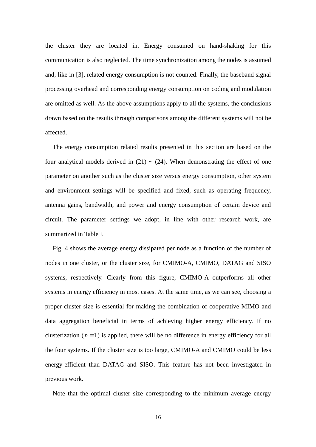the cluster they are located in. Energy consumed on hand-shaking for this communication is also neglected. The time synchronization among the nodes is assumed and, like in [3], related energy consumption is not counted. Finally, the baseband signal processing overhead and corresponding energy consumption on coding and modulation are omitted as well. As the above assumptions apply to all the systems, the conclusions drawn based on the results through comparisons among the different systems will not be affected.

The energy consumption related results presented in this section are based on the four analytical models derived in  $(21) \sim (24)$ . When demonstrating the effect of one parameter on another such as the cluster size versus energy consumption, other system and environment settings will be specified and fixed, such as operating frequency, antenna gains, bandwidth, and power and energy consumption of certain device and circuit. The parameter settings we adopt, in line with other research work, are summarized in Table I.

Fig. 4 shows the average energy dissipated per node as a function of the number of nodes in one cluster, or the cluster size, for CMIMO-A, CMIMO, DATAG and SISO systems, respectively. Clearly from this figure, CMIMO-A outperforms all other systems in energy efficiency in most cases. At the same time, as we can see, choosing a proper cluster size is essential for making the combination of cooperative MIMO and data aggregation beneficial in terms of achieving higher energy efficiency. If no clusterization  $(n=1)$  is applied, there will be no difference in energy efficiency for all the four systems. If the cluster size is too large, CMIMO-A and CMIMO could be less energy-efficient than DATAG and SISO. This feature has not been investigated in previous work.

Note that the optimal cluster size corresponding to the minimum average energy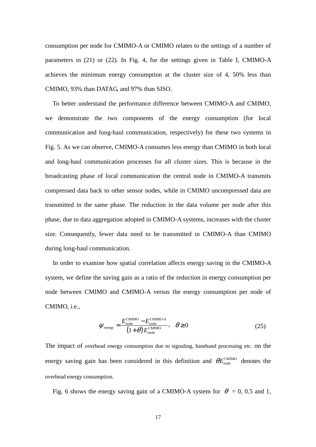consumption per node for CMIMO-A or CMIMO relates to the settings of a number of parameters in (21) or (22). In Fig. 4, for the settings given in Table I, CMIMO-A achieves the minimum energy consumption at the cluster size of 4, 50% less than CMIMO, 93% than DATAG, and 97% than SISO.

To better understand the performance difference between CMIMO-A and CMIMO, we demonstrate the two components of the energy consumption (for local communication and long-haul communication, respectively) for these two systems in Fig. 5. As we can observe, CMIMO-A consumes less energy than CMIMO in both local and long-haul communication processes for all cluster sizes. This is because in the broadcasting phase of local communication the central node in CMIMO-A transmits compressed data back to other sensor nodes, while in CMIMO uncompressed data are transmitted in the same phase. The reduction in the data volume per node after this phase, due to data aggregation adopted in CMIMO-A systems, increases with the cluster size. Consequently, fewer data need to be transmitted in CMIMO-A than CMIMO during long-haul communication.

In order to examine how spatial correlation affects energy saving in the CMIMO-A system, we define the saving gain as a ratio of the reduction in energy consumption per node between CMIMO and CMIMO-A versus the energy consumption per node of CMIMO, i.e.,

$$
\psi_{\text{energy}} = \frac{E_{\text{node}}^{\text{CMIMO}} - E_{\text{node}}^{\text{CMIMO-A}}}{\left(1+\theta\right)E_{\text{node}}^{\text{CMIMO}}}, \quad \theta \ge 0
$$
\n(25)

The impact of overhead energy consumption due to signaling, baseband processing etc. on the energy saving gain has been considered in this definition and  $\theta E_{\text{node}}^{\text{CMIMO}}$  denotes the overhead energy consumption.

Fig. 6 shows the energy saving gain of a CMIMO-A system for  $\theta = 0$ , 0.5 and 1,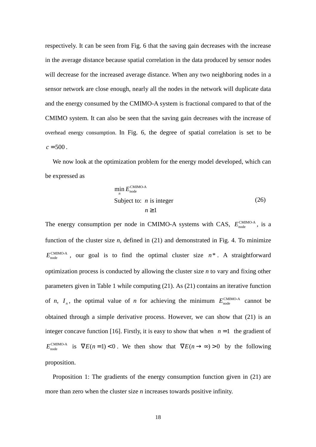respectively. It can be seen from Fig. 6 that the saving gain decreases with the increase in the average distance because spatial correlation in the data produced by sensor nodes will decrease for the increased average distance. When any two neighboring nodes in a sensor network are close enough, nearly all the nodes in the network will duplicate data and the energy consumed by the CMIMO-A system is fractional compared to that of the CMIMO system. It can also be seen that the saving gain decreases with the increase of overhead energy consumption. In Fig. 6, the degree of spatial correlation is set to be  $c = 500$ .

We now look at the optimization problem for the energy model developed, which can be expressed as

$$
\min_{n} E_{\text{node}}^{\text{CMIMO-A}} \n\text{Subject to: } n \text{ is integer} \tag{26}
$$
\n
$$
n \ge 1
$$

The energy consumption per node in CMIMO-A systems with CAS,  $E_{\text{node}}^{\text{CMMO-A}}$ , is a function of the cluster size *n*, defined in (21) and demonstrated in Fig. 4. To minimize  $E_{\text{node}}^{\text{CMIMO-A}}$ , our goal is to find the optimal cluster size  $n^*$ . A straightforward optimization process is conducted by allowing the cluster size *n* to vary and fixing other parameters given in Table 1 while computing (21). As (21) contains an iterative function of *n*,  $I_n$ , the optimal value of *n* for achieving the minimum  $E_{\text{node}}^{\text{CMMO-A}}$  cannot be obtained through a simple derivative process. However, we can show that (21) is an integer concave function [16]. Firstly, it is easy to show that when  $n=1$  the gradient of  $E_{\text{node}}^{\text{CMIMO-A}}$  is  $\nabla E(n=1) < 0$ . We then show that  $\nabla E(n \rightarrow \infty) > 0$  by the following proposition.

Proposition 1: The gradients of the energy consumption function given in (21) are more than zero when the cluster size *n* increases towards positive infinity.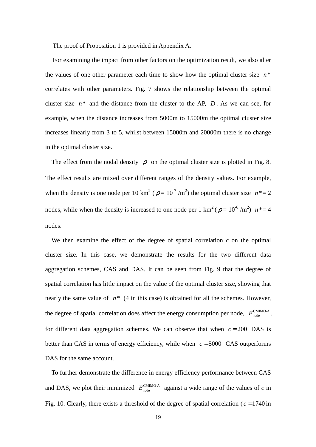The proof of Proposition 1 is provided in Appendix A.

For examining the impact from other factors on the optimization result, we also alter the values of one other parameter each time to show how the optimal cluster size  $n^*$ correlates with other parameters. Fig. 7 shows the relationship between the optimal cluster size  $n^*$  and the distance from the cluster to the AP,  $D$ . As we can see, for example, when the distance increases from 5000m to 15000m the optimal cluster size increases linearly from 3 to 5, whilst between 15000m and 20000m there is no change in the optimal cluster size.

The effect from the nodal density  $\rho$  on the optimal cluster size is plotted in Fig. 8. The effect results are mixed over different ranges of the density values. For example, when the density is one node per 10 km<sup>2</sup> ( $\rho = 10^{-7}$  /m<sup>2</sup>) the optimal cluster size  $n^*=2$ nodes, while when the density is increased to one node per  $1 \text{ km}^2$  ( $\rho = 10^{-6} \text{ m}^2$ )  $n^* = 4$ nodes.

We then examine the effect of the degree of spatial correlation *c* on the optimal cluster size. In this case, we demonstrate the results for the two different data aggregation schemes, CAS and DAS. It can be seen from Fig. 9 that the degree of spatial correlation has little impact on the value of the optimal cluster size, showing that nearly the same value of  $n^*$  (4 in this case) is obtained for all the schemes. However, the degree of spatial correlation does affect the energy consumption per node,  $E_{\text{node}}^{\text{CMMO-A}}$ , for different data aggregation schemes. We can observe that when  $c = 200$  DAS is better than CAS in terms of energy efficiency, while when  $c = 5000$  CAS outperforms DAS for the same account.

To further demonstrate the difference in energy efficiency performance between CAS and DAS, we plot their minimized  $E_{\text{node}}^{\text{CMMO-A}}$  against a wide range of the values of *c* in Fig. 10. Clearly, there exists a threshold of the degree of spatial correlation ( $c = 1740$  in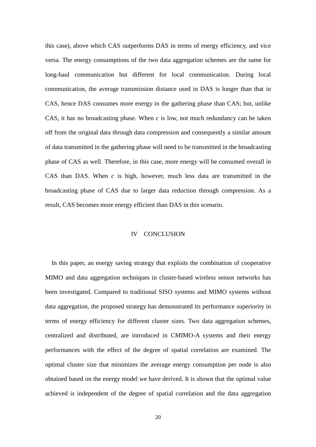this case), above which CAS outperforms DAS in terms of energy efficiency, and vice versa. The energy consumptions of the two data aggregation schemes are the same for long-haul communication but different for local communication. During local communication, the average transmission distance used in DAS is longer than that in CAS, hence DAS consumes more energy in the gathering phase than CAS; but, unlike CAS, it has no broadcasting phase. When *c* is low, not much redundancy can be taken off from the original data through data compression and consequently a similar amount of data transmitted in the gathering phase will need to be transmitted in the broadcasting phase of CAS as well. Therefore, in this case, more energy will be consumed overall in CAS than DAS. When *c* is high, however, much less data are transmitted in the broadcasting phase of CAS due to larger data reduction through compression. As a result, CAS becomes more energy efficient than DAS in this scenario.

## IV CONCLUSION

In this paper, an energy saving strategy that exploits the combination of cooperative MIMO and data aggregation techniques in cluster-based wireless sensor networks has been investigated. Compared to traditional SISO systems and MIMO systems without data aggregation, the proposed strategy has demonstrated its performance superiority in terms of energy efficiency for different cluster sizes. Two data aggregation schemes, centralized and distributed, are introduced in CMIMO-A systems and their energy performances with the effect of the degree of spatial correlation are examined. The optimal cluster size that minimizes the average energy consumption per node is also obtained based on the energy model we have derived. It is shown that the optimal value achieved is independent of the degree of spatial correlation and the data aggregation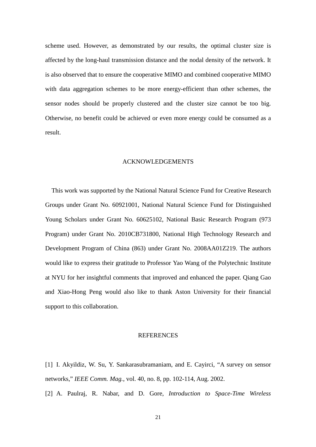scheme used. However, as demonstrated by our results, the optimal cluster size is affected by the long-haul transmission distance and the nodal density of the network. It is also observed that to ensure the cooperative MIMO and combined cooperative MIMO with data aggregation schemes to be more energy-efficient than other schemes, the sensor nodes should be properly clustered and the cluster size cannot be too big. Otherwise, no benefit could be achieved or even more energy could be consumed as a result.

## ACKNOWLEDGEMENTS

This work was supported by the National Natural Science Fund for Creative Research Groups under Grant No. 60921001, National Natural Science Fund for Distinguished Young Scholars under Grant No. 60625102, National Basic Research Program (973 Program) under Grant No. 2010CB731800, National High Technology Research and Development Program of China (863) under Grant No. 2008AA01Z219. The authors would like to express their gratitude to Professor Yao Wang of the Polytechnic Institute at NYU for her insightful comments that improved and enhanced the paper. Qiang Gao and Xiao-Hong Peng would also like to thank Aston University for their financial support to this collaboration.

## **REFERENCES**

[1] I. Akyildiz, W. Su, Y. Sankarasubramaniam, and E. Cayirci, "A survey on sensor networks," *IEEE Comm. Mag.*, vol. 40, no. 8, pp. 102-114, Aug. 2002.

[2] A. Paulraj, R. Nabar, and D. Gore, *Introduction to Space-Time Wireless*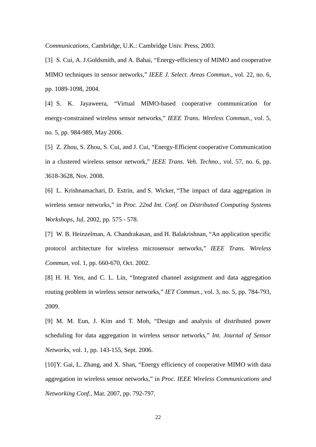*Communications*, Cambridge, U.K.: Cambridge Univ. Press, 2003.

[3] S. Cui, A. J. Goldsmith, and A. Bahai, "Energy-efficiency of MIMO and cooperative MIMO techniques in sensor networks," *IEEE J. Select. Areas Commun*., vol. 22, no. 6, pp. 1089-1098, 2004.

[4] S. K. Jayaweera, "Virtual MIMO-based cooperative communication for energy-constrained wireless sensor networks," *IEEE Trans. Wireless Commun.*, vol. 5, no. 5, pp. 984-989, May 2006.

[5] Z. Zhou, S. Zhou, S. Cui, and J. Cui, "Energy-Efficient cooperative Communication in a clustered wireless sensor network," *IEEE Trans. Veh. Techno.*, vol. 57, no. 6, pp. 3618-3628, Nov. 2008.

[6] L. Krishnamachari, D. Estrin, and S. Wicker, "The impact of data aggregation in wireless sensor networks," in *Proc. 22nd Int. Conf. on Distributed Computing Systems Workshops,* Jul. 2002, pp. 575 - 578.

[7] W. B. Heinzelman, A. Chandrakasan, and H. Balakrishnan, "An application specific protocol architecture for wireless microsensor networks," *IEEE Trans. Wireless Commun*, vol. 1, pp. 660-670, Oct. 2002.

[8] H. H. Yen, and C. L. Lin, "Integrated channel assignment and data aggregation routing problem in wireless sensor networks," *IET Commun.*, vol. 3, no. 5, pp. 784-793, 2009.

[9] M. M. Eun, J. Kim and T. Moh, "Design and analysis of distributed power scheduling for data aggregation in wireless sensor networks," *Int. Journal of Sensor Networks*, vol. 1, pp. 143-155, Sept. 2006.

[10] Y. Gai, L. Zhang, and X. Shan, "Energy efficiency of cooperative MIMO with data aggregation in wireless sensor networks," in *Proc. IEEE Wireless Communications and Networking Conf.*, Mar. 2007, pp. 792-797.

22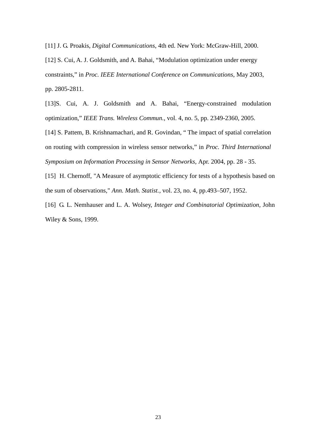[11] J. G. Proakis, *Digital Communications*, 4th ed. New York: McGraw-Hill, 2000.

[12] S. Cui, A. J. Goldsmith, and A. Bahai, "Modulation optimization under energy constraints," in *Proc. IEEE International Conference on Communications*, May 2003, pp. 2805-2811.

[13]S. Cui, A. J. Goldsmith and A. Bahai, "Energy-constrained modulation optimization," *IEEE Trans. Wireless Commun.*, vol. 4, no. 5, pp. 2349-2360, 2005.

[14] S. Pattem, B. Krishnamachari, and R. Govindan, " The impact of spatial correlation on routing with compression in wireless sensor networks," in *Proc. Third International Symposium on Information Processing in Sensor Networks*, Apr. 2004, pp. 28 - 35.

[15] H. Chernoff, "A Measure of asymptotic efficiency for tests of a hypothesis based on the sum of observations," *Ann. Math. Statist.,* vol. 23, no. 4, pp.493–507, 1952.

[16] G. L. Nemhauser and L. A. Wolsey, *Integer and Combinatorial Optimization*, John Wiley & Sons, 1999.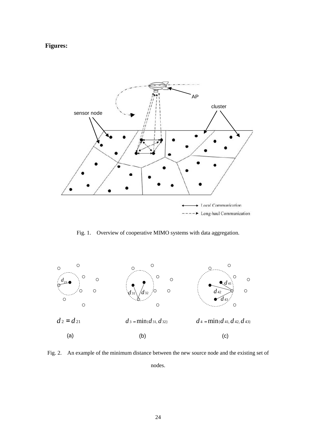## **Figures:**



Fig. 1. Overview of cooperative MIMO systems with data aggregation.



Fig. 2. An example of the minimum distance between the new source node and the existing set of nodes.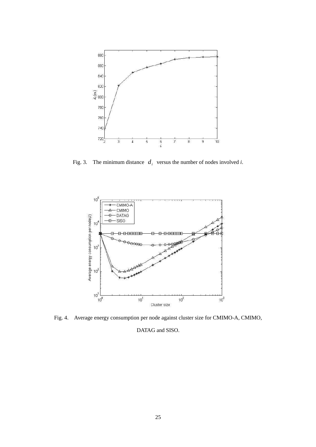

Fig. 3. The minimum distance  $d_i$  versus the number of nodes involved *i*.



Fig. 4. Average energy consumption per node against cluster size for CMIMO-A, CMIMO,

DATAG and SISO.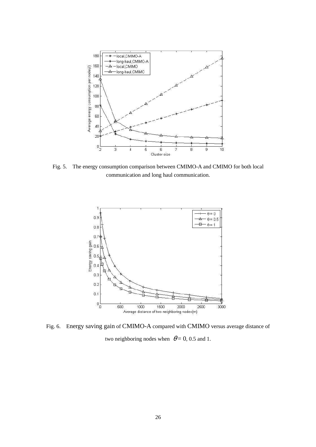

Fig. 5. The energy consumption comparison between CMIMO-A and CMIMO for both local communication and long haul communication.



Fig. 6. Energy saving gain of CMIMO-A compared with CMIMO versus average distance of two neighboring nodes when  $\theta = 0$ , 0.5 and 1.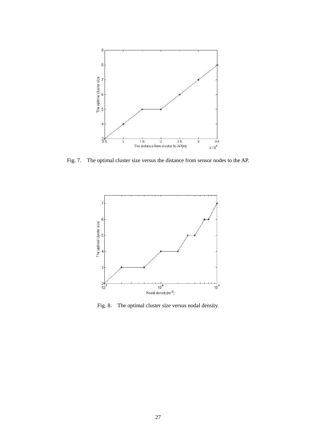

Fig. 7. The optimal cluster size versus the distance from sensor nodes to the AP.



Fig. 8. The optimal cluster size versus nodal density.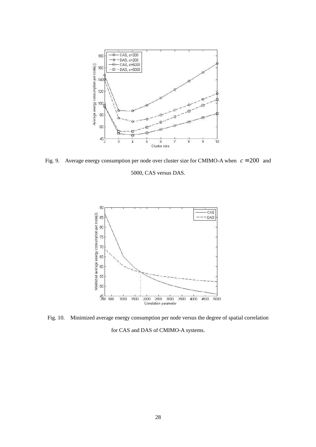

Fig. 9. Average energy consumption per node over cluster size for CMIMO-A when *c* = 200 and

5000, CAS versus DAS.



Fig. 10. Minimized average energy consumption per node versus the degree of spatial correlation

for CAS and DAS of CMIMO-A systems.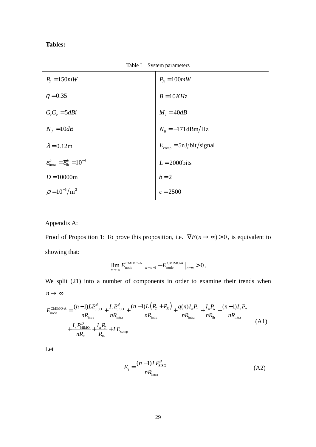## **Tables:**

Table I System parameters

| $P_{T} = 150mW$                                                                 | $P_R = 100mW$                              |
|---------------------------------------------------------------------------------|--------------------------------------------|
| $\eta = 0.35$                                                                   | $B = 10KHz$                                |
| $G_i G_r = 5dBi$                                                                | $M_i = 40dB$                               |
| $N_f = 10dB$                                                                    | $N_0 = -171 \text{dBm}/\text{Hz}$          |
| $\lambda = 0.12$ m                                                              | $E_{\text{comp}} = 5 \text{nJ/bit/signal}$ |
| $\varepsilon_{\text{intra}}^b = \overline{\varepsilon}_{\text{lh}}^b = 10^{-4}$ | $L = 2000$ bits                            |
| $D = 10000$ m                                                                   | $b=2$                                      |
| $\rho = 10^{-6}/m^2$                                                            | $c = 2500$                                 |

Appendix A:

Proof of Proposition 1: To prove this proposition, i.e.  $\nabla E(n \rightarrow \infty) > 0$ , is equivalent to showing that:

$$
\lim_{m\to\infty} E_{\text{node}}^{\text{CMIMO-A}}\left|_{n=m+1} - E_{\text{node}}^{\text{CMIMO-A}}\right|_{n=m} > 0.
$$

We split (21) into a number of components in order to examine their trends when  $n \rightarrow \infty$ .

$$
E_{\text{node}}^{\text{CMIMO-A}} = \frac{(n-1)LP_{\text{SISO}}^d}{nR_{\text{intra}}} + \frac{I_n P_{\text{SISO}}^d}{nR_{\text{intra}}} + \frac{(n-1)L(P_T + P_R)}{nR_{\text{intra}}} + \frac{q(n)I_n P_T}{nR_{\text{intra}}} + \frac{I_n P_R}{nR_{\text{intra}}} + \frac{(n-1)I_n P_R}{nR_{\text{intra}}} + \frac{I_n P_{\text{intra}}}{nR_{\text{intra}}} \tag{A1}
$$

Let

$$
E_1 = \frac{(n-1)LP_{\text{SISO}}^d}{nR_{\text{intra}}}
$$
 (A2)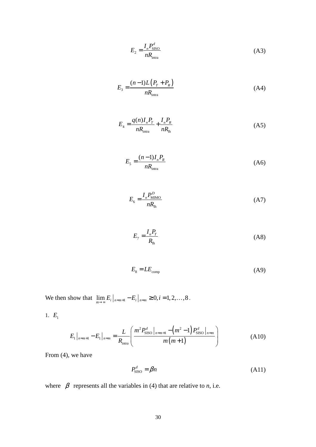$$
E_2 = \frac{I_n P_{\text{SISO}}^d}{nR_{\text{intra}}} \tag{A3}
$$

$$
E_3 = \frac{(n-1)L(P_T + P_R)}{nR_{\text{intra}}}
$$
(A4)

$$
E_4 = \frac{q(n)I_n P_T}{nR_{\text{intra}}} + \frac{I_n P_R}{nR_{\text{lh}}}
$$
(A5)

$$
E_{5} = \frac{(n-1)I_{n}P_{R}}{nR_{\text{intra}}} \tag{A6}
$$

$$
E_{6} = \frac{I_{n}P_{\text{MIMO}}^{D}}{nR_{\text{lh}}} \tag{A7}
$$

$$
E_7 = \frac{I_n P_T}{R_{\text{lh}}} \tag{A8}
$$

$$
E_s = LE_{\text{comp}} \tag{A9}
$$

We then show that  $\lim_{m \to \infty} E_i \big|_{n=m+1} - E_i \big|_{n=m} \ge 0, i = 1, 2, ..., 8$ .

1.  $E_1$ 

$$
E_1\big|_{n=m+1} - E_1\big|_{n=m} = \frac{L}{R_{\text{intra}}} \left(\frac{m^2 P_{\text{SISO}}^d\big|_{n=m+1} - \left(m^2 - 1\right) P_{\text{SISO}}^d\big|_{n=m}}{m(m+1)}\right) \tag{A10}
$$

From (4), we have

$$
P_{\text{SISO}}^d = \beta n \tag{A11}
$$

where  $\beta$  represents all the variables in (4) that are relative to *n*, i.e.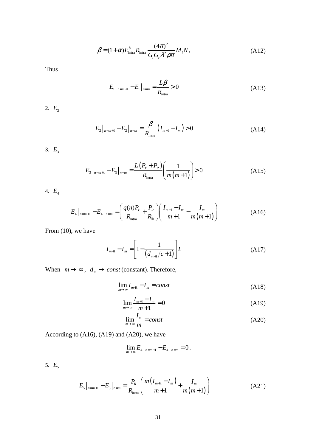$$
\beta = (1+\alpha)E_{\text{intra}}^{b} R_{\text{intra}} \frac{(4\pi)^{2}}{G_{i} G_{r} \lambda^{2} \rho \pi} M_{i} N_{f}
$$
(A12)

Thus

$$
E_1|_{n=m+1} - E_1|_{n=m} = \frac{L\beta}{R_{\text{intra}}} > 0
$$
\n(A13)

2.  $E_2$ 

$$
E_2\big|_{n=m+1} - E_2\big|_{n=m} = \frac{\beta}{R_{\text{intra}}} (I_{m+1} - I_m) > 0 \tag{A14}
$$

3.  $E_3$ 

$$
E_3\big|_{n=m+1} - E_3\big|_{n=m} = \frac{L\big(P_r + P_R\big)}{R_{\text{intra}}} \bigg(\frac{1}{m(m+1)}\bigg) > 0\tag{A15}
$$

4.  $E_4$ 

$$
E_4\big|_{n=m+1} - E_4\big|_{n=m} = \left(\frac{q(n)P_T}{R_{\text{intra}}} + \frac{P_R}{R_{\text{lh}}}\right) \left(\frac{I_{m+1} - I_m}{m+1} - \frac{I_m}{m(m+1)}\right) \tag{A16}
$$

From (10), we have

$$
I_{m+1} - I_m = \left[1 - \frac{1}{\left(d_{m+1}/c + 1\right)}\right] L\tag{A17}
$$

When  $m \rightarrow \infty$ ,  $d_m \rightarrow const$  (constant). Therefore,

$$
\lim_{m \to \infty} I_{m+1} - I_m = const \tag{A18}
$$

$$
\lim_{m \to \infty} \frac{I_{m+1} - I_m}{m+1} = 0
$$
\n(A19)

$$
\lim_{m \to \infty} \frac{I_m}{m} = const \tag{A20}
$$

According to (A16), (A19) and (A20), we have

$$
\lim_{m \to \infty} E_4 \big|_{n=m+1} - E_4 \big|_{n=m} = 0 \, .
$$

5.  $E_5$ 

$$
E_{5}|_{n=m+1} - E_{5}|_{n=m} = \frac{P_{R}}{R_{\text{intra}}} \left( \frac{m(I_{m+1} - I_{m})}{m+1} + \frac{I_{m}}{m(m+1)} \right)
$$
(A21)